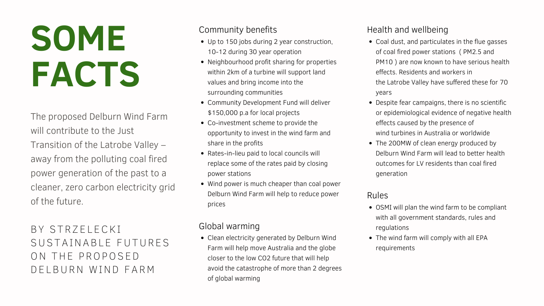# **SOME FACTS**

BY STRZELECKI SUSTAINABLE FUTURES ON THE PROPOSED DELBURN WIND FARM

The proposed Delburn Wind Farm will contribute to the Just Transition of the Latrobe Valley – away from the polluting coal fired power generation of the past to a cleaner, zero carbon electricity grid of the future.

- Coal dust, and particulates in the flue gasses of coal fired power stations ( PM2.5 and PM10 ) are now known to have serious health effects. Residents and workers in the Latrobe Valley have suffered these for 70 years
- Despite fear campaigns, there is no scientific or epidemiological evidence of negative health effects caused by the presence of wind turbines in Australia or worldwide
- The 200MW of clean energy produced by Delburn Wind Farm will lead to better health outcomes for LV residents than coal fired generation

## Health and wellbeing

- OSMI will plan the wind farm to be compliant with all government standards, rules and regulations
- The wind farm will comply with all EPA requirements

## Rules

- Up to 150 jobs during 2 year construction, 10-12 during 30 year operation
- Neighbourhood profit sharing for properties within 2km of a turbine will support land values and bring income into the surrounding communities
- Community Development Fund will deliver \$150,000 p.a for local projects
- Co-investment scheme to provide the opportunity to invest in the wind farm and share in the profits
- Rates-in-lieu paid to local councils will replace some of the rates paid by closing power stations
- Wind power is much cheaper than coal power Delburn Wind Farm will help to reduce power prices

Clean electricity generated by Delburn Wind Farm will help move Australia and the globe closer to the low CO2 future that will help avoid the catastrophe of more than 2 degrees of global warming

## Community benefits

# Global warming